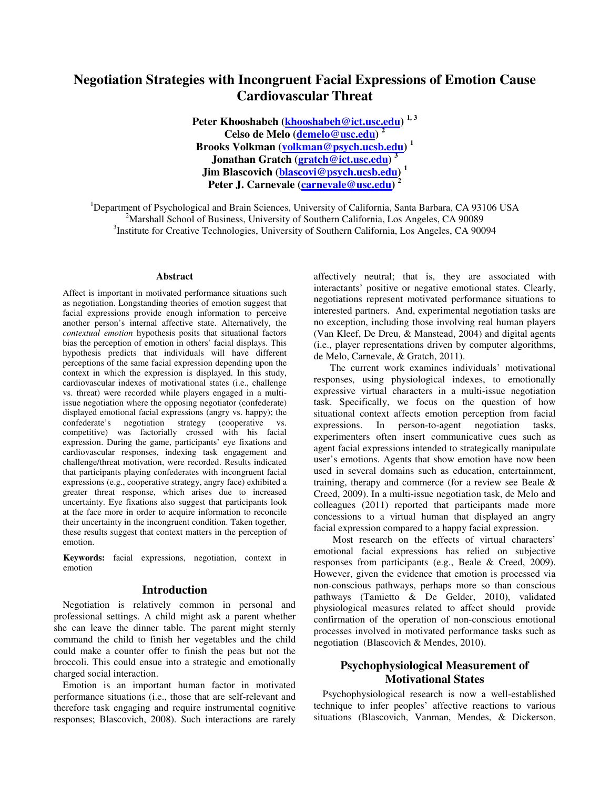# **Negotiation Strategies with Incongruent Facial Expressions of Emotion Cause Cardiovascular Threat**

**Peter Khooshabeh (khooshabeh@ict.usc.edu) 1, 3 Celso de Melo (demelo@usc.edu) <sup>2</sup> Brooks Volkman (volkman@psych.ucsb.edu) <sup>1</sup> Jonathan Gratch (gratch@ict.usc.edu) <sup>3</sup> Jim Blascovich (blascovi@psych.ucsb.edu) <sup>1</sup> Peter J. Carnevale (carnevale@usc.edu) <sup>2</sup>**

<sup>1</sup>Department of Psychological and Brain Sciences, University of California, Santa Barbara, CA 93106 USA <sup>2</sup>Merchall School of Pusiness, University of Southern California, Les Angeles, CA 00080  $2^2$ Marshall School of Business, University of Southern California, Los Angeles, CA 90089 <sup>3</sup>Institute for Creative Technologies, University of Southern California, Los Angeles, CA 90094

#### **Abstract**

Affect is important in motivated performance situations such as negotiation. Longstanding theories of emotion suggest that facial expressions provide enough information to perceive another person's internal affective state. Alternatively, the *contextual emotion* hypothesis posits that situational factors bias the perception of emotion in others' facial displays. This hypothesis predicts that individuals will have different perceptions of the same facial expression depending upon the context in which the expression is displayed. In this study, cardiovascular indexes of motivational states (i.e., challenge vs. threat) were recorded while players engaged in a multiissue negotiation where the opposing negotiator (confederate) displayed emotional facial expressions (angry vs. happy); the confederate's negotiation strategy (cooperative vs. competitive) was factorially crossed with his facial expression. During the game, participants' eye fixations and cardiovascular responses, indexing task engagement and challenge/threat motivation, were recorded. Results indicated that participants playing confederates with incongruent facial expressions (e.g., cooperative strategy, angry face) exhibited a greater threat response, which arises due to increased uncertainty. Eye fixations also suggest that participants look at the face more in order to acquire information to reconcile their uncertainty in the incongruent condition. Taken together, these results suggest that context matters in the perception of emotion.

**Keywords:** facial expressions, negotiation, context in emotion

#### **Introduction**

Negotiation is relatively common in personal and professional settings. A child might ask a parent whether she can leave the dinner table. The parent might sternly command the child to finish her vegetables and the child could make a counter offer to finish the peas but not the broccoli. This could ensue into a strategic and emotionally charged social interaction.

Emotion is an important human factor in motivated performance situations (i.e., those that are self-relevant and therefore task engaging and require instrumental cognitive responses; Blascovich, 2008). Such interactions are rarely affectively neutral; that is, they are associated with interactants' positive or negative emotional states. Clearly, negotiations represent motivated performance situations to interested partners. And, experimental negotiation tasks are no exception, including those involving real human players (Van Kleef, De Dreu, & Manstead, 2004) and digital agents (i.e., player representations driven by computer algorithms, de Melo, Carnevale, & Gratch, 2011).

 The current work examines individuals' motivational responses, using physiological indexes, to emotionally expressive virtual characters in a multi-issue negotiation task. Specifically, we focus on the question of how situational context affects emotion perception from facial expressions. In person-to-agent negotiation tasks, experimenters often insert communicative cues such as agent facial expressions intended to strategically manipulate user's emotions. Agents that show emotion have now been used in several domains such as education, entertainment, training, therapy and commerce (for a review see Beale & Creed, 2009). In a multi-issue negotiation task, de Melo and colleagues (2011) reported that participants made more concessions to a virtual human that displayed an angry facial expression compared to a happy facial expression.

 Most research on the effects of virtual characters' emotional facial expressions has relied on subjective responses from participants (e.g., Beale & Creed, 2009). However, given the evidence that emotion is processed via non-conscious pathways, perhaps more so than conscious pathways (Tamietto & De Gelder, 2010), validated physiological measures related to affect should provide confirmation of the operation of non-conscious emotional processes involved in motivated performance tasks such as negotiation (Blascovich & Mendes, 2010).

# **Psychophysiological Measurement of Motivational States**

Psychophysiological research is now a well-established technique to infer peoples' affective reactions to various situations (Blascovich, Vanman, Mendes, & Dickerson,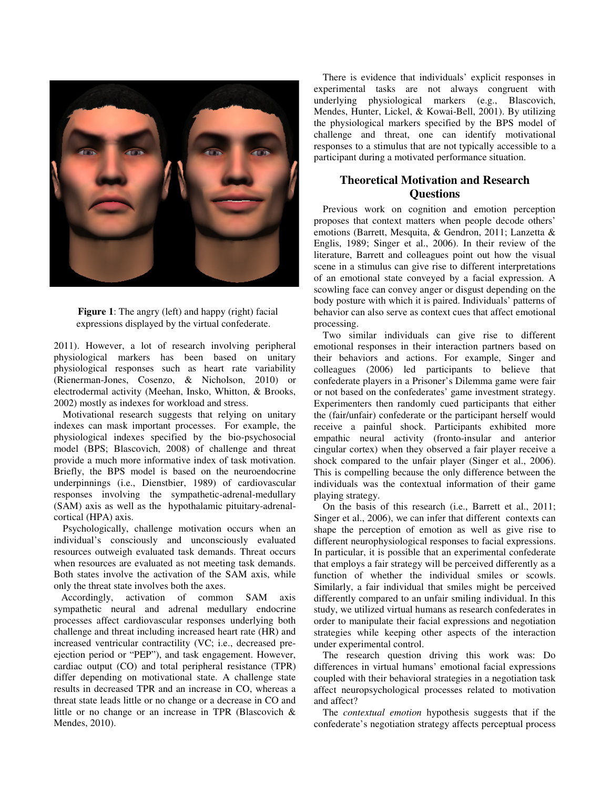

**Figure 1**: The angry (left) and happy (right) facial expressions displayed by the virtual confederate.

2011). However, a lot of research involving peripheral physiological markers has been based on unitary physiological responses such as heart rate variability (Rienerman-Jones, Cosenzo, & Nicholson, 2010) electrodermal activity (Meehan, Insko, Whitton, & Brooks, 2002) mostly as indexes for workload and stress. I markers has been based on unitary<br>1 responses such as heart rate variability<br>Jones, Cosenzo, & Nicholson, 2010) or

Motivational research suggests that relying on unitary indexes can mask important processes. For example, the physiological indexes specified by the bio model (BPS; Blascovich, 2008) of challenge and threat provide a much more informative index of task motivation. Briefly, the BPS model is based on the neuroendocrine underpinnings (i.e., Dienstbier, 1989) of cardiovascular responses involving the sympathetic-adrenal (SAM) axis as well as the hypothalamic pituitary-adrenalcortical (HPA) axis. dermal activity (Meehan, Insko, Whitton, & Brooks, mostly as indexes for workload and stress.<br>ivational research suggests that relying on unitary<br>s can mask important processes. For example, the<br>logical indexes specified b Blascovich, 2008) of challenge and threat in more informative index of task motivation.<br>PS model is based on the neuroendocrine (i.e., Dienstbier, 1989) of cardiovascular olving the sympathetic-adrenal-medullary

Psychologically, challenge motivation occurs when an dividual's consciously and unconsciously evaluated sources outweigh evaluated task demands. Threat occurs nen resources are evaluated as not meeting task demands. individual's consciously and unconsciously evaluated resources outweigh evaluated task demands. Threat occurs when resources are evaluated as not meeting task demands. Both states involve the activation of the SAM axis, while only the threat state involves both the axes.

 Accordingly, activation of common SAM axis sympathetic neural and adrenal medullary endocrine processes affect cardiovascular responses underlying both challenge and threat including increased heart rate (HR) and increased ventricular contractility (VC; i.e., decreased pre ejection period or "PEP"), and task engagement. However, cardiac output (CO) and total peripheral resistance (TPR) differ depending on motivational state. A challenge state results in decreased TPR and an increase in CO, whereas a threat state leads little or no change or a decrease in CO and little or no change or an increase in TPR (Blascovich  $\&$ Mendes, 2010). s involve the activation of the SAM axis, while<br>reat state involves both the axes.<br>lighty, activation of common SAM axis<br>ic neural and adrenal medullary endocrine<br>affect cardiovascular responses underlying both<br>and threat depending on motivational state. A challenge state<br>in decreased TPR and an increase in CO, whereas a<br>tate leads little or no change or a decrease in CO and

There is evidence that individuals' explicit responses in experimental tasks are not always congruent with underlying physiological markers (e.g., Blascovich, Mendes, Hunter, Lickel, & Kowai-Bell, 2001). By utilizing the physiological markers specified by the BPS model of challenge and threat, one can identify motivational responses to a stimulus that are not typically accessible to a participant during a motivated performance situation.

# **Theoretical Motivation Motivation and Research Questions**

Previous work on cognition and emotion perception proposes that context matters when people decode others' emotions (Barrett, Mesquita, & Gendron, 2011; Lanzetta & Englis, 1989; Singer et al., 2006). In their review of the literature, Barrett and colleagues point out how the visual scene in a stimulus can give rise to different interpretations scene in a stimulus can give rise to different interpretations<br>of an emotional state conveyed by a facial expression. A scowling face can convey anger or disgust depending on the scowling face can convey anger or disgust depending on the body posture with which it is paired. Individuals' patterns of behavior can also serve as context cues that affect emotional processing. proposes that context matters when people decode others'<br>emotions (Barrett, Mesquita, & Gendron, 2011; Lanzetta &<br>Englis, 1989; Singer et al., 2006). In their review of the

Two similar individuals can give rise to different Two similar individuals can give rise to different emotional responses in their interaction partners based on their behaviors and actions. For example, Singer and colleagues (2006) led participants to believe that confederate players in a Prisoner's Dilemma game were fair or not based on the confederates' game investment strategy. Experimenters then randomly cued participants that either the (fair/unfair) confederate or the participant herself would receive a painful shock. Participants exhibited more empathic neural activity (fronto-insular and anterior cingular cortex) when they observed a fair player receive a shock compared to the unfair player (Singer et al., 2006). This is compelling because the only difference between the This is compelling because the only difference between the individuals was the contextual information of their game playing strategy. believe that<br>er's Dilemma game were fair<br>s' game investment strategy.<br>cued participants that either<br>the participant herself would<br>articipants exhibited more<br>ronto-insular and anterior

On the basis of this research (i.e., Barrett et al., 2011; On the basis of this research (i.e., Barrett et al., 2011; Singer et al., 2006), we can infer that different contexts can shape the perception of emotion as well as give rise to different neurophysiological responses to facial expressions. In particular, it is possible that an experimental confederate In particular, it is possible that an experimental confederate that employs a fair strategy will be perceived differently as a function of whether the individual smiles or scowls. Similarly, a fair individual that smiles might be perceived differently compared to an unfair smiling individual. In this study, we utilized virtual humans as research confederat order to manipulate their facial expressions and negotiation strategies while keeping other aspects of the interaction under experimental control. der to manipulate their facial expressions and negotiation ategies while keeping other aspects of the interaction der experimental control.<br>The research question driving this work was: Do function of whether the individual smiles or scowls.<br>Similarly, a fair individual that smiles might be perceived<br>differently compared to an unfair smiling individual. In this<br>study, we utilized virtual humans as research c

differences in virtual humans' emotional facial expressions coupled with their behavioral strategies in a negotiation task affect neuropsychological processes related to motivation and affect?

The *contextual emotion* hypothesis suggests that if the confederate's negotiation strategy affects processes related to motivation<br>hypothesis suggests that if the<br>ategy affects perceptual process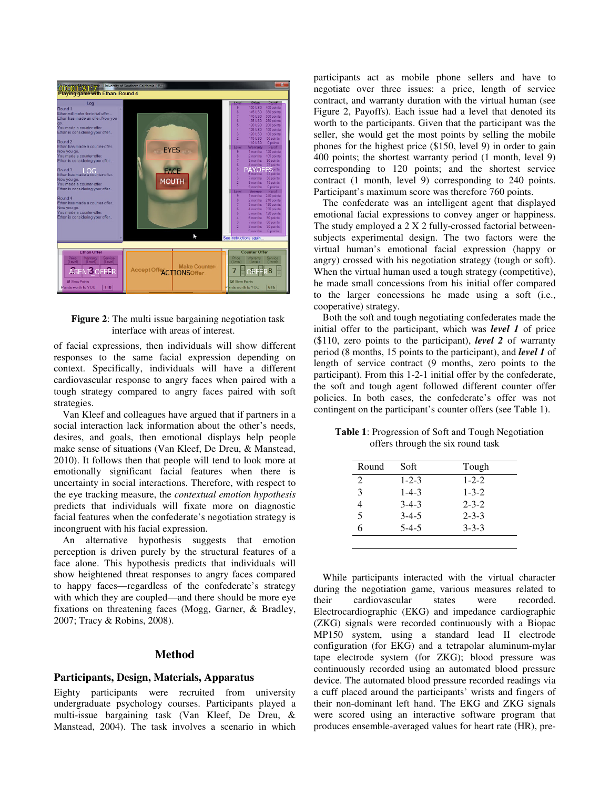

# **Figure 2:** The multi issue bargaining negotiation task interface with areas of interest.

of facial expressions, then individuals will show different responses to the same facial expression depending on context. Specifically, individuals will have a different cardiovascular response to angry faces when paired with a tough strategy compared to angry faces paired with soft strategies.

Van Kleef and colleagues have argued that if partners in a social interaction lack information about the other's needs, desires, and goals, then emotional displays help people make sense of situations (Van Kleef, De Dreu, & Manstead, 2010). It follows then that people will tend to look more at emotionally significant facial features when there is uncertainty in social interactions. Therefore, with respect to the eye tracking measure, the *contextual emotion hypothesis*  predicts that individuals will fixate more on diagnostic facial features when the confederate's negotiation strategy is incongruent with his facial expression.

An alternative hypothesis suggests that emotion perception is driven purely by the structural features of a face alone. This hypothesis predicts that individuals will show heightened threat responses to angry faces compared to happy faces—regardless of the confederate's strategy with which they are coupled—and there should be more eye fixations on threatening faces (Mogg, Garner, & Bradley, 2007; Tracy & Robins, 2008).

# **Method**

# **Participants, Design, Materials, Apparatus**

Eighty participants were recruited from university undergraduate psychology courses. Participants played a multi-issue bargaining task (Van Kleef, De Dreu, & Manstead, 2004). The task involves a scenario in which participants act as mobile phone sellers and have to negotiate over three issues: a price, length of service contract, and warranty duration with the virtual human (see Figure 2, Payoffs). Each issue had a level that denoted its worth to the participants. Given that the participant was the seller, she would get the most points by selling the mobile phones for the highest price (\$150, level 9) in order to gain 400 points; the shortest warranty period (1 month, level 9) corresponding to 120 points; and the shortest service contract (1 month, level 9) corresponding to 240 points. Participant's maximum score was therefore 760 points.

The confederate was an intelligent agent that displayed emotional facial expressions to convey anger or happiness. The study employed a 2 X 2 fully-crossed factorial betweensubjects experimental design. The two factors were the virtual human's emotional facial expression (happy or angry) crossed with his negotiation strategy (tough or soft). When the virtual human used a tough strategy (competitive), he made small concessions from his initial offer compared to the larger concessions he made using a soft (i.e., cooperative) strategy.

Both the soft and tough negotiating confederates made the initial offer to the participant, which was *level 1* of price (\$110, zero points to the participant), *level 2* of warranty period (8 months, 15 points to the participant), and *level 1* of length of service contract (9 months, zero points to the participant). From this 1-2-1 initial offer by the confederate, the soft and tough agent followed different counter offer policies. In both cases, the confederate's offer was not contingent on the participant's counter offers (see Table 1).

**Table 1**: Progression of Soft and Tough Negotiation offers through the six round task

| Round | Soft        | Tough       |
|-------|-------------|-------------|
| 2     | $1 - 2 - 3$ | $1 - 2 - 2$ |
| 3     | $1 - 4 - 3$ | $1 - 3 - 2$ |
| 4     | $3 - 4 - 3$ | $2 - 3 - 2$ |
| 5     | $3 - 4 - 5$ | $2 - 3 - 3$ |
| 6     | $5-4-5$     | $3 - 3 - 3$ |

While participants interacted with the virtual character during the negotiation game, various measures related to their cardiovascular states were recorded. Electrocardiographic (EKG) and impedance cardiographic (ZKG) signals were recorded continuously with a Biopac MP150 system, using a standard lead II electrode configuration (for EKG) and a tetrapolar aluminum-mylar tape electrode system (for ZKG); blood pressure was continuously recorded using an automated blood pressure device. The automated blood pressure recorded readings via a cuff placed around the participants' wrists and fingers of their non-dominant left hand. The EKG and ZKG signals were scored using an interactive software program that produces ensemble-averaged values for heart rate (HR), pre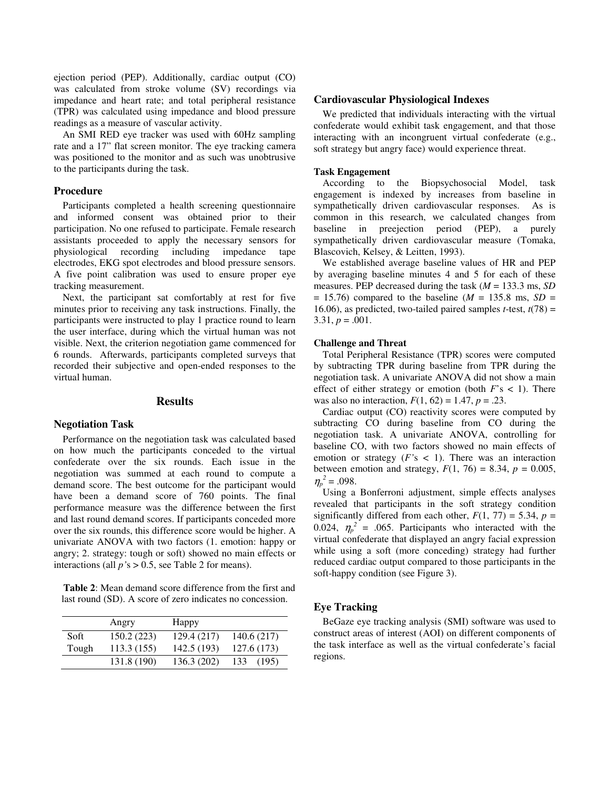ejection period (PEP). Additionally, cardiac output (CO) was calculated from stroke volume (SV) recordings via impedance and heart rate; and total peripheral resistance (TPR) was calculated using impedance and blood pressure readings as a measure of vascular activity.

An SMI RED eye tracker was used with 60Hz sampling rate and a 17" flat screen monitor. The eye tracking camera was positioned to the monitor and as such was unobtrusive to the participants during the task.

## **Procedure**

Participants completed a health screening questionnaire and informed consent was obtained prior to their participation. No one refused to participate. Female research assistants proceeded to apply the necessary sensors for physiological recording including impedance tape electrodes, EKG spot electrodes and blood pressure sensors. A five point calibration was used to ensure proper eye tracking measurement.

Next, the participant sat comfortably at rest for five minutes prior to receiving any task instructions. Finally, the participants were instructed to play 1 practice round to learn the user interface, during which the virtual human was not visible. Next, the criterion negotiation game commenced for 6 rounds. Afterwards, participants completed surveys that recorded their subjective and open-ended responses to the virtual human.

# **Results**

#### **Negotiation Task**

Performance on the negotiation task was calculated based on how much the participants conceded to the virtual confederate over the six rounds. Each issue in the negotiation was summed at each round to compute a demand score. The best outcome for the participant would have been a demand score of 760 points. The final performance measure was the difference between the first and last round demand scores. If participants conceded more over the six rounds, this difference score would be higher. A univariate ANOVA with two factors (1. emotion: happy or angry; 2. strategy: tough or soft) showed no main effects or interactions (all *p'*s > 0.5, see Table 2 for means).

**Table 2**: Mean demand score difference from the first and last round (SD). A score of zero indicates no concession.

|       | Angry       | Happy       |              |
|-------|-------------|-------------|--------------|
| Soft  | 150.2(223)  | 129.4(217)  | 140.6(217)   |
| Tough | 113.3(155)  | 142.5 (193) | 127.6(173)   |
|       | 131.8 (190) | 136.3 (202) | 133<br>(195) |

#### **Cardiovascular Physiological Indexes**

We predicted that individuals interacting with the virtual confederate would exhibit task engagement, and that those interacting with an incongruent virtual confederate (e.g., soft strategy but angry face) would experience threat.

#### **Task Engagement**

According to the Biopsychosocial Model, task engagement is indexed by increases from baseline in sympathetically driven cardiovascular responses. As is common in this research, we calculated changes from baseline in preejection period (PEP), a purely sympathetically driven cardiovascular measure (Tomaka, Blascovich, Kelsey, & Leitten, 1993).

We established average baseline values of HR and PEP by averaging baseline minutes 4 and 5 for each of these measures. PEP decreased during the task (*M* = 133.3 ms, *SD*   $= 15.76$ ) compared to the baseline ( $M = 135.8$  ms,  $SD =$ 16.06), as predicted, two-tailed paired samples  $t$ -test,  $t(78)$  =  $3.31, p = .001.$ 

# **Challenge and Threat**

Total Peripheral Resistance (TPR) scores were computed by subtracting TPR during baseline from TPR during the negotiation task. A univariate ANOVA did not show a main effect of either strategy or emotion (both  $F$ 's < 1). There was also no interaction,  $F(1, 62) = 1.47$ ,  $p = .23$ .

Cardiac output (CO) reactivity scores were computed by subtracting CO during baseline from CO during the negotiation task. A univariate ANOVA, controlling for baseline CO, with two factors showed no main effects of emotion or strategy  $(F's < 1)$ . There was an interaction between emotion and strategy,  $F(1, 76) = 8.34$ ,  $p = 0.005$ ,  $\eta_p^2 = .098$ .

Using a Bonferroni adjustment, simple effects analyses revealed that participants in the soft strategy condition significantly differed from each other,  $F(1, 77) = 5.34$ ,  $p =$ 0.024,  $\eta_p^2$  = .065. Participants who interacted with the virtual confederate that displayed an angry facial expression while using a soft (more conceding) strategy had further reduced cardiac output compared to those participants in the soft-happy condition (see Figure 3).

# **Eye Tracking**

BeGaze eye tracking analysis (SMI) software was used to construct areas of interest (AOI) on different components of the task interface as well as the virtual confederate's facial regions.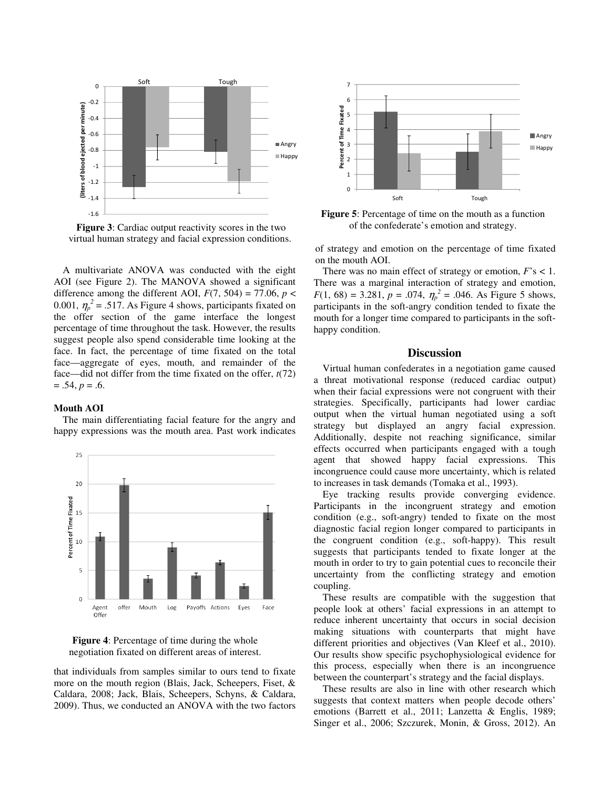

**Figure 3**: Cardiac output reactivity scores in the two virtual human strategy and facial expression conditions.

A multivariate ANOVA was conducted with the eight AOI (see Figure 2). The MANOVA showed a significant difference among the different AOI,  $F(7, 504) = 77.06$ ,  $p <$ 0.001,  $\eta_p^2 = .517$ . As Figure 4 shows, participants fixated on the offer section of the game interface the longest percentage of time throughout the task. However, the results suggest people also spend considerable time looking at the face. In fact, the percentage of time fixated on the total face—aggregate of eyes, mouth, and remainder of the face—did not differ from the time fixated on the offer, *t*(72)  $= .54, p = .6.$ 

#### **Mouth AOI**

The main differentiating facial feature for the angry and happy expressions was the mouth area. Past work indicates





that individuals from samples similar to ours tend to fixate more on the mouth region (Blais, Jack, Scheepers, Fiset, & Caldara, 2008; Jack, Blais, Scheepers, Schyns, & Caldara, 2009). Thus, we conducted an ANOVA with the two factors



**Figure 5**: Percentage of time on the mouth as a function of the confederate's emotion and strategy.

of strategy and emotion on the percentage of time fixated on the mouth AOI.

There was no main effect of strategy or emotion, *F*'s < 1. There was a marginal interaction of strategy and emotion,  $F(1, 68) = 3.281$ ,  $p = .074$ ,  $\eta_p^2 = .046$ . As Figure 5 shows, participants in the soft-angry condition tended to fixate the mouth for a longer time compared to participants in the softhappy condition.

#### **Discussion**

Virtual human confederates in a negotiation game caused a threat motivational response (reduced cardiac output) when their facial expressions were not congruent with their strategies. Specifically, participants had lower cardiac output when the virtual human negotiated using a soft strategy but displayed an angry facial expression. Additionally, despite not reaching significance, similar effects occurred when participants engaged with a tough agent that showed happy facial expressions. This incongruence could cause more uncertainty, which is related to increases in task demands (Tomaka et al., 1993).

Eye tracking results provide converging evidence. Participants in the incongruent strategy and emotion condition (e.g., soft-angry) tended to fixate on the most diagnostic facial region longer compared to participants in the congruent condition (e.g., soft-happy). This result suggests that participants tended to fixate longer at the mouth in order to try to gain potential cues to reconcile their uncertainty from the conflicting strategy and emotion coupling.

These results are compatible with the suggestion that people look at others' facial expressions in an attempt to reduce inherent uncertainty that occurs in social decision making situations with counterparts that might have different priorities and objectives (Van Kleef et al., 2010). Our results show specific psychophysiological evidence for this process, especially when there is an incongruence between the counterpart's strategy and the facial displays.

These results are also in line with other research which suggests that context matters when people decode others' emotions (Barrett et al., 2011; Lanzetta & Englis, 1989; Singer et al., 2006; Szczurek, Monin, & Gross, 2012). An